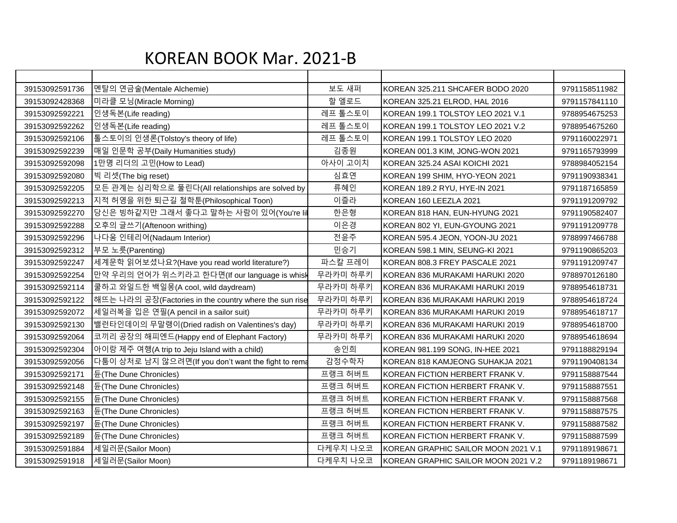## KOREAN BOOK Mar. 2021-B

| 39153092591736 | 멘탈의 연금술(Mentale Alchemie)                              | 보도 새퍼    | KOREAN 325.211 SHCAFER BODO 2020    | 9791158511982 |
|----------------|--------------------------------------------------------|----------|-------------------------------------|---------------|
| 39153092428368 | 미라클 모닝(Miracle Morning)                                | 할 엘로드    | KOREAN 325.21 ELROD, HAL 2016       | 9791157841110 |
| 39153092592221 | 인생독본(Life reading)                                     | 레프 톨스토이  | KOREAN 199.1 TOLSTOY LEO 2021 V.1   | 9788954675253 |
| 39153092592262 | 인생독본(Life reading)                                     | 레프 톨스토이  | KOREAN 199.1 TOLSTOY LEO 2021 V.2   | 9788954675260 |
| 39153092592106 | 톨스토이의 인생론(Tolstoy's theory of life)                    | 레프 톨스토이  | KOREAN 199.1 TOLSTOY LEO 2020       | 9791160022971 |
| 39153092592239 | 매일 인문학 공부(Daily Humanities study)                      | 김종원      | KOREAN 001.3 KIM, JONG-WON 2021     | 9791165793999 |
| 39153092592098 | 1만명 리더의 고민(How to Lead)                                | 아사이 고이치  | KOREAN 325.24 ASAI KOICHI 2021      | 9788984052154 |
| 39153092592080 | 빅 리셋(The big reset)                                    | 심효연      | KOREAN 199 SHIM, HYO-YEON 2021      | 9791190938341 |
| 39153092592205 | 모든 관계는 심리학으로 풀린다(All relationships are solved by       | 류혜인      | KOREAN 189.2 RYU, HYE-IN 2021       | 9791187165859 |
| 39153092592213 | 지적 허영을 위한 퇴근길 철학툰(Philosophical Toon)                  | 이즐라      | KOREAN 160 LEEZLA 2021              | 9791191209792 |
| 39153092592270 | 당신은 빙하같지만 그래서 좋다고 말하는 사람이 있어(You're lil                | 한은형      | KOREAN 818 HAN, EUN-HYUNG 2021      | 9791190582407 |
| 39153092592288 | 오후의 글쓰기(Aftenoon writhing)                             | 이은경      | KOREAN 802 YI, EUN-GYOUNG 2021      | 9791191209778 |
| 39153092592296 | 나다움 인테리어(Nadaum Interior)                              | 전윤주      | KOREAN 595.4 JEON, YOON-JU 2021     | 9788997466788 |
| 39153092592312 | 부모 노릇(Parenting)                                       | 민승기      | KOREAN 598.1 MIN, SEUNG-KI 2021     | 9791190865203 |
| 39153092592247 | 세계문학 읽어보셨나요?(Have you read world literature?)          | 파스칼 프레이  | KOREAN 808.3 FREY PASCALE 2021      | 9791191209747 |
| 39153092592254 | 만약 우리의 언어가 위스키라고 한다면(If our language is whisk          | 무라카미 하루키 | KOREAN 836 MURAKAMI HARUKI 2020     | 9788970126180 |
| 39153092592114 | 쿨하고 와일드한 백일몽(A cool, wild daydream)                    | 무라카미 하루키 | KOREAN 836 MURAKAMI HARUKI 2019     | 9788954618731 |
| 39153092592122 | 해뜨는 나라의 공장(Factories in the country where the sun rise | 무라카미 하루키 | KOREAN 836 MURAKAMI HARUKI 2019     | 9788954618724 |
| 39153092592072 | 세일러복을 입은 연필(A pencil in a sailor suit)                 | 무라카미 하루키 | KOREAN 836 MURAKAMI HARUKI 2019     | 9788954618717 |
| 39153092592130 | 밸런타인데이의 무말랭이(Dried radish on Valentines's day)         | 무라카미 하루키 | KOREAN 836 MURAKAMI HARUKI 2019     | 9788954618700 |
| 39153092592064 | 코끼리 공장의 해피엔드(Happy end of Elephant Factory)            | 무라카미 하루키 | KOREAN 836 MURAKAMI HARUKI 2020     | 9788954618694 |
| 39153092592304 | 아이랑 제주 여행(A trip to Jeju Island with a child)          | 송인희      | KOREAN 981.199 SONG, IN-HEE 2021    | 9791188829194 |
| 39153092592056 | 다툼이 상처로 남지 않으려면(If you don't want the fight to rema    | 감정수학자    | KOREAN 818 KAMJEONG SUHAKJA 2021    | 9791190408134 |
| 39153092592171 | 듄(The Dune Chronicles)                                 | 프랭크 허버트  | KOREAN FICTION HERBERT FRANK V.     | 9791158887544 |
| 39153092592148 | 듄(The Dune Chronicles)                                 | 프랭크 허버트  | KOREAN FICTION HERBERT FRANK V.     | 9791158887551 |
| 39153092592155 | 듄(The Dune Chronicles)                                 | 프랭크 허버트  | KOREAN FICTION HERBERT FRANK V.     | 9791158887568 |
| 39153092592163 | 듄(The Dune Chronicles)                                 | 프랭크 허버트  | KOREAN FICTION HERBERT FRANK V.     | 9791158887575 |
| 39153092592197 | 듄(The Dune Chronicles)                                 | 프랭크 허버트  | KOREAN FICTION HERBERT FRANK V.     | 9791158887582 |
| 39153092592189 | 듄(The Dune Chronicles)                                 | 프랭크 허버트  | KOREAN FICTION HERBERT FRANK V.     | 9791158887599 |
| 39153092591884 | 세일러문(Sailor Moon)                                      | 다케우치 나오코 | KOREAN GRAPHIC SAILOR MOON 2021 V.1 | 9791189198671 |
| 39153092591918 | 세일러문(Sailor Moon)                                      | 다케우치 나오코 | KOREAN GRAPHIC SAILOR MOON 2021 V.2 | 9791189198671 |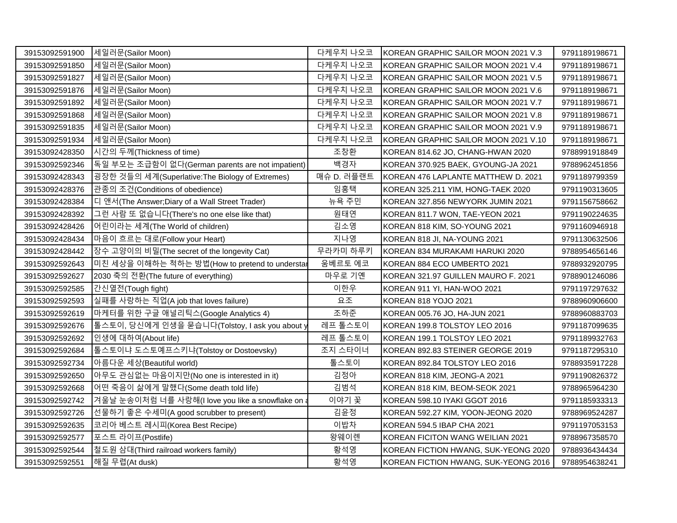| 39153092591900 | 세일러문(Sailor Moon)                                | 다케우치 나오코   | KOREAN GRAPHIC SAILOR MOON 2021 V.3  | 9791189198671 |
|----------------|--------------------------------------------------|------------|--------------------------------------|---------------|
| 39153092591850 | 세일러문(Sailor Moon)                                | 다케우치 나오코   | KOREAN GRAPHIC SAILOR MOON 2021 V.4  | 9791189198671 |
| 39153092591827 | 세일러문(Sailor Moon)                                | 다케우치 나오코   | KOREAN GRAPHIC SAILOR MOON 2021 V.5  | 9791189198671 |
| 39153092591876 | 세일러문(Sailor Moon)                                | 다케우치 나오코   | KOREAN GRAPHIC SAILOR MOON 2021 V.6  | 9791189198671 |
| 39153092591892 | 세일러문(Sailor Moon)                                | 다케우치 나오코   | KOREAN GRAPHIC SAILOR MOON 2021 V.7  | 9791189198671 |
| 39153092591868 | 세일러문(Sailor Moon)                                | 다케우치 나오코   | KOREAN GRAPHIC SAILOR MOON 2021 V.8  | 9791189198671 |
| 39153092591835 | 세일러문(Sailor Moon)                                | 다케우치 나오코   | KOREAN GRAPHIC SAILOR MOON 2021 V.9  | 9791189198671 |
| 39153092591934 | 세일러문(Sailor Moon)                                | 다케우치 나오코   | KOREAN GRAPHIC SAILOR MOON 2021 V.10 | 9791189198671 |
| 39153092428350 | 시간의 두께(Thickness of time)                        | 조창환        | KOREAN 814.62 JO, CHANG-HWAN 2020    | 9788991918849 |
| 39153092592346 | 독일 부모는 조급함이 없다(German parents are not impatient) | 백경자        | KOREAN 370.925 BAEK, GYOUNG-JA 2021  | 9788962451856 |
| 39153092428343 | 굉장한 것들의 세계(Superlative:The Biology of Extremes)  | 매슈 D. 러플랜트 | KOREAN 476 LAPLANTE MATTHEW D. 2021  | 9791189799359 |
| 39153092428376 | 관종의 조건(Conditions of obedience)                  | 임홍택        | KOREAN 325.211 YIM, HONG-TAEK 2020   | 9791190313605 |
| 39153092428384 | 디 앤서(The Answer;Diary of a Wall Street Trader)   | 뉴욕 주민      | KOREAN 327.856 NEWYORK JUMIN 2021    | 9791156758662 |
| 39153092428392 | 그런 사람 또 없습니다(There's no one else like that)      | 원태연        | KOREAN 811.7 WON, TAE-YEON 2021      | 9791190224635 |
| 39153092428426 | 어린이라는 세계(The World of children)                  | 김소영        | KOREAN 818 KIM, SO-YOUNG 2021        | 9791160946918 |
| 39153092428434 | 마음이 흐르는 대로(Follow your Heart)                    | 지나영        | KOREAN 818 JI, NA-YOUNG 2021         | 9791130632506 |
| 39153092428442 | 장수 고양이의 비밀(The secret of the longevity Cat)      | 무라카미 하루키   | KOREAN 834 MURAKAMI HARUKI 2020      | 9788954656146 |
| 39153092592643 | 미친 세상을 이해하는 척하는 방법(How to pretend to understar   | 움베르토 에코    | KOREAN 884 ECO UMBERTO 2021          | 9788932920795 |
| 39153092592627 | 2030 축의 전환(The future of everything)             | 마우로 기옌     | KOREAN 321.97 GUILLEN MAURO F. 2021  | 9788901246086 |
| 39153092592585 | 간신열전(Tough fight)                                | 이한우        | KOREAN 911 YI, HAN-WOO 2021          | 9791197297632 |
| 39153092592593 | 실패를 사랑하는 직업(A job that loves failure)            | 요조         | KOREAN 818 YOJO 2021                 | 9788960906600 |
| 39153092592619 | 마케터를 위한 구글 애널리틱스(Google Analytics 4)             | 조하준        | KOREAN 005.76 JO, HA-JUN 2021        | 9788960883703 |
| 39153092592676 | 톨스토이, 당신에게 인생을 묻습니다(Tolstoy, I ask you about y   | 레프 톨스토이    | KOREAN 199.8 TOLSTOY LEO 2016        | 9791187099635 |
| 39153092592692 | 인생에 대하여(About life)                              | 레프 톨스토이    | KOREAN 199.1 TOLSTOY LEO 2021        | 9791189932763 |
| 39153092592684 | 톨스토이냐 도스토예프스키냐(Tolstoy or Dostoevsky)            | 조지 스타이너    | KOREAN 892.83 STEINER GEORGE 2019    | 9791187295310 |
| 39153092592734 | 아름다운 세상(Beautiful world)                         | 톨스토이       | KOREAN 892.84 TOLSTOY LEO 2016       | 9788935917228 |
| 39153092592650 | 아무도 관심없는 마음이지만(No one is interested in it)       | 김정아        | KOREAN 818 KIM, JEONG-A 2021         | 9791190826372 |
| 39153092592668 | 어떤 죽음이 삶에게 말했다(Some death told life)             | 김범석        | KOREAN 818 KIM, BEOM-SEOK 2021       | 9788965964230 |
| 39153092592742 | 겨울날 눈송이처럼 너를 사랑해(I love you like a snowflake on  | 이야기 꽃      | KOREAN 598.10 IYAKI GGOT 2016        | 9791185933313 |
| 39153092592726 | 선물하기 좋은 수세미(A good scrubber to present)          | 김윤정        | KOREAN 592.27 KIM, YOON-JEONG 2020   | 9788969524287 |
| 39153092592635 | 코리아 베스트 레시피(Korea Best Recipe)                   | 이밥차        | KOREAN 594.5 IBAP CHA 2021           | 9791197053153 |
| 39153092592577 | 포스트 라이프(Postlife)                                | 왕웨이롄       | KOREAN FICITON WANG WEILIAN 2021     | 9788967358570 |
| 39153092592544 | 철도원 삼대(Third railroad workers family)            | 황석영        | KOREAN FICTION HWANG, SUK-YEONG 2020 | 9788936434434 |
| 39153092592551 | 해질 무렵(At dusk)                                   | 황석영        | KOREAN FICTION HWANG, SUK-YEONG 2016 | 9788954638241 |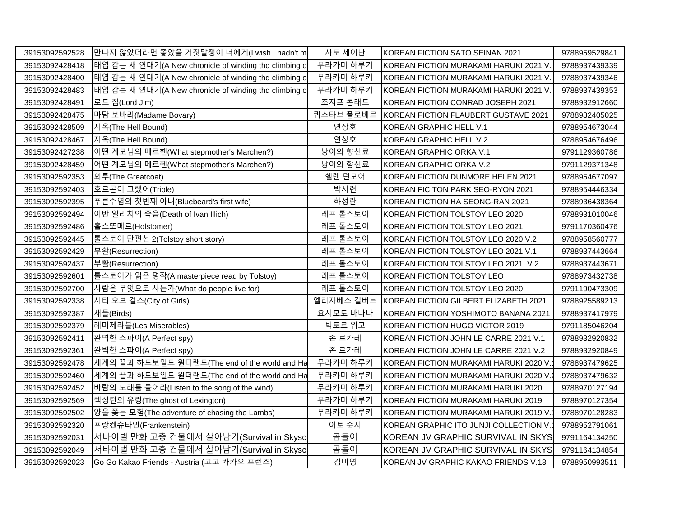| 39153092592528 | 만나지 않았더라면 좋았을 거짓말쟁이 너에게(I wish I hadn't m              | 사토 세이난    | KOREAN FICTION SATO SEINAN 2021        | 9788959529841 |
|----------------|--------------------------------------------------------|-----------|----------------------------------------|---------------|
| 39153092428418 | 태엽 감는 새 연대기(A New chronicle of winding thd climbing of | 무라카미 하루키  | KOREAN FICTION MURAKAMI HARUKI 2021 V  | 9788937439339 |
| 39153092428400 | 태엽 감는 새 연대기(A New chronicle of winding thd climbing of | 무라카미 하루키  | KOREAN FICTION MURAKAMI HARUKI 2021 V  | 9788937439346 |
| 39153092428483 | 태엽 감는 새 연대기(A New chronicle of winding thd climbing of | 무라카미 하루키  | KOREAN FICTION MURAKAMI HARUKI 2021 V  | 9788937439353 |
| 39153092428491 | 로드 짐(Lord Jim)                                         | 조지프 콘래드   | KOREAN FICTION CONRAD JOSEPH 2021      | 9788932912660 |
| 39153092428475 | 마담 보바리(Madame Bovary)                                  | 퀴스타브 플로베르 | KOREAN FICTION FLAUBERT GUSTAVE 2021   | 9788932405025 |
| 39153092428509 | 지옥(The Hell Bound)                                     | 연상호       | KOREAN GRAPHIC HELL V.1                | 9788954673044 |
| 39153092428467 | 지옥(The Hell Bound)                                     | 연상호       | KOREAN GRAPHIC HELL V.2                | 9788954676496 |
| 39153092427238 | 어떤 계모님의 메르헨(What stepmother's Marchen?)                | 낭이와 향신료   | KOREAN GRAPHIC ORKA V.1                | 9791129360786 |
| 39153092428459 | 어떤 계모님의 메르헨(What stepmother's Marchen?)                | 낭이와 향신료   | KOREAN GRAPHIC ORKA V.2                | 9791129371348 |
| 39153092592353 | 외투(The Greatcoat)                                      | 헬렌 던모어    | KOREAN FICTION DUNMORE HELEN 2021      | 9788954677097 |
| 39153092592403 | 호르몬이 그랬어(Triple)                                       | 박서련       | KOREAN FICITON PARK SEO-RYON 2021      | 9788954446334 |
| 39153092592395 | 푸른수염의 첫번째 아내(Bluebeard's first wife)                   | 하성란       | KOREAN FICTION HA SEONG-RAN 2021       | 9788936438364 |
| 39153092592494 | 이반 일리치의 죽음(Death of Ivan Illich)                       | 레프 톨스토이   | KOREAN FICTION TOLSTOY LEO 2020        | 9788931010046 |
| 39153092592486 | 홀스또메르(Holstomer)                                       | 레프 톨스토이   | KOREAN FICTION TOLSTOY LEO 2021        | 9791170360476 |
| 39153092592445 | 톨스토이 단편선 2(Tolstoy short story)                        | 레프 톨스토이   | KOREAN FICTION TOLSTOY LEO 2020 V.2    | 9788958560777 |
| 39153092592429 | 부활(Resurrection)                                       | 레프 톨스토이   | KOREAN FICTION TOLSTOY LEO 2021 V.1    | 9788937443664 |
| 39153092592437 | 부활(Resurrection)                                       | 레프 톨스토이   | KOREAN FICTION TOLSTOY LEO 2021 V.2    | 9788937443671 |
| 39153092592601 | 톨스토이가 읽은 명작(A masterpiece read by Tolstoy)             | 레프 톨스토이   | KOREAN FICTION TOLSTOY LEO             | 9788973432738 |
| 39153092592700 | 사람은 무엇으로 사는가(What do people live for)                  | 레프 톨스토이   | KOREAN FICTION TOLSTOY LEO 2020        | 9791190473309 |
| 39153092592338 | 시티 오브 걸스(City of Girls)                                | 엘리자베스 길버트 | KOREAN FICTION GILBERT ELIZABETH 2021  | 9788925589213 |
| 39153092592387 | 새들(Birds)                                              | 요시모토 바나나  | KOREAN FICTION YOSHIMOTO BANANA 2021   | 9788937417979 |
| 39153092592379 | 레미제라블(Les Miserables)                                  | 빅토르 위고    | KOREAN FICTION HUGO VICTOR 2019        | 9791185046204 |
| 39153092592411 | 완벽한 스파이(A Perfect spy)                                 | 존 르카레     | KOREAN FICTION JOHN LE CARRE 2021 V.1  | 9788932920832 |
| 39153092592361 | 완벽한 스파이(A Perfect spy)                                 | 존 르카레     | KOREAN FICTION JOHN LE CARRE 2021 V.2  | 9788932920849 |
| 39153092592478 | 세계의 끝과 하드보일드 원더랜드(The end of the world and Ha          | 무라카미 하루키  | KOREAN FICTION MURAKAMI HARUKI 2020 V  | 9788937479625 |
| 39153092592460 | 세계의 끝과 하드보일드 원더랜드(The end of the world and Ha          | 무라카미 하루키  | KOREAN FICTION MURAKAMI HARUKI 2020 V  | 9788937479632 |
| 39153092592452 | 바람의 노래를 들어라(Listen to the song of the wind)            | 무라카미 하루키  | KOREAN FICTION MURAKAMI HARUKI 2020    | 9788970127194 |
| 39153092592569 | 렉싱턴의 유령(The ghost of Lexington)                        | 무라카미 하루키  | KOREAN FICTION MURAKAMI HARUKI 2019    | 9788970127354 |
| 39153092592502 | 양을 쫓는 모험(The adventure of chasing the Lambs)           | 무라카미 하루키  | KOREAN FICTION MURAKAMI HARUKI 2019 V  | 9788970128283 |
| 39153092592320 | 프랑켄슈타인(Frankenstein)                                   | 이토 준지     | KOREAN GRAPHIC ITO JUNJI COLLECTION V. | 9788952791061 |
| 39153092592031 | 서바이벌 만화 고층 건물에서 살아남기(Survival in Skysc                 | 곰돌이       | KOREAN JV GRAPHIC SURVIVAL IN SKYS     | 9791164134250 |
| 39153092592049 | 서바이벌 만화 고층 건물에서 살아남기(Survival in Skysc                 | 곰돌이       | KOREAN JV GRAPHIC SURVIVAL IN SKYS     | 9791164134854 |
| 39153092592023 | Go Go Kakao Friends - Austria (고고 카카오 프렌즈)             | 김미영       | KOREAN JV GRAPHIC KAKAO FRIENDS V.18   | 9788950993511 |